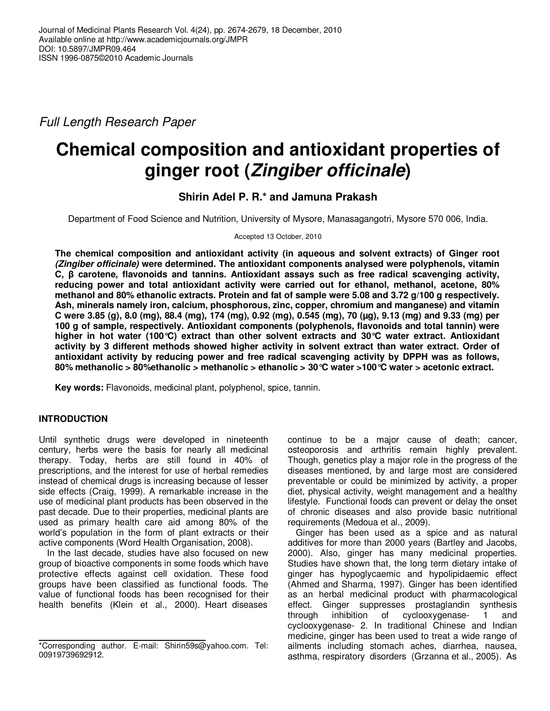Full Length Research Paper

# **Chemical composition and antioxidant properties of ginger root (Zingiber officinale)**

# **Shirin Adel P. R.\* and Jamuna Prakash**

Department of Food Science and Nutrition, University of Mysore, Manasagangotri, Mysore 570 006, India.

Accepted 13 October, 2010

**The chemical composition and antioxidant activity (in aqueous and solvent extracts) of Ginger root (Zingiber officinale) were determined. The antioxidant components analysed were polyphenols, vitamin C, β carotene, flavonoids and tannins. Antioxidant assays such as free radical scavenging activity, reducing power and total antioxidant activity were carried out for ethanol, methanol, acetone, 80% methanol and 80% ethanolic extracts. Protein and fat of sample were 5.08 and 3.72 g/100 g respectively. Ash, minerals namely iron, calcium, phosphorous, zinc, copper, chromium and manganese) and vitamin C were 3.85 (g), 8.0 (mg), 88.4 (mg), 174 (mg), 0.92 (mg), 0.545 (mg), 70 (µg), 9.13 (mg) and 9.33 (mg) per 100 g of sample, respectively. Antioxidant components (polyphenols, flavonoids and total tannin) were higher in hot water (100°C) extract than other solvent extracts and 30°C water extract. Antioxidant activity by 3 different methods showed higher activity in solvent extract than water extract. Order of antioxidant activity by reducing power and free radical scavenging activity by DPPH was as follows, 80% methanolic > 80%ethanolic > methanolic > ethanolic > 30°C water >100°C water > acetonic extract.** 

**Key words:** Flavonoids, medicinal plant, polyphenol, spice, tannin.

# **INTRODUCTION**

Until synthetic drugs were developed in nineteenth century, herbs were the basis for nearly all medicinal therapy. Today, herbs are still found in 40% of prescriptions, and the interest for use of herbal remedies instead of chemical drugs is increasing because of lesser side effects (Craig, 1999). A remarkable increase in the use of medicinal plant products has been observed in the past decade. Due to their properties, medicinal plants are used as primary health care aid among 80% of the world's population in the form of plant extracts or their active components (Word Health Organisation, 2008).

In the last decade, studies have also focused on new group of bioactive components in some foods which have protective effects against cell oxidation. These food groups have been classified as functional foods. The value of functional foods has been recognised for their health benefits (Klein et al., 2000). Heart diseases

continue to be a major cause of death; cancer, osteoporosis and arthritis remain highly prevalent. Though, genetics play a major role in the progress of the diseases mentioned, by and large most are considered preventable or could be minimized by activity, a proper diet, physical activity, weight management and a healthy lifestyle. Functional foods can prevent or delay the onset of chronic diseases and also provide basic nutritional requirements (Medoua et al., 2009).

Ginger has been used as a spice and as natural additives for more than 2000 years (Bartley and Jacobs, 2000). Also, ginger has many medicinal properties. Studies have shown that, the long term dietary intake of ginger has hypoglycaemic and hypolipidaemic effect (Ahmed and Sharma, 1997). Ginger has been identified as an herbal medicinal product with pharmacological effect. Ginger suppresses prostaglandin synthesis<br>through inhibition of cyclooxygenase- 1 and through inhibition of cyclooxygenase- 1 and cyclooxygenase- 2. In traditional Chinese and Indian medicine, ginger has been used to treat a wide range of ailments including stomach aches, diarrhea, nausea, asthma, respiratory disorders (Grzanna et al., 2005). As

<sup>\*</sup>Corresponding author. E-mail: Shirin59s@yahoo.com. Tel: 00919739692912.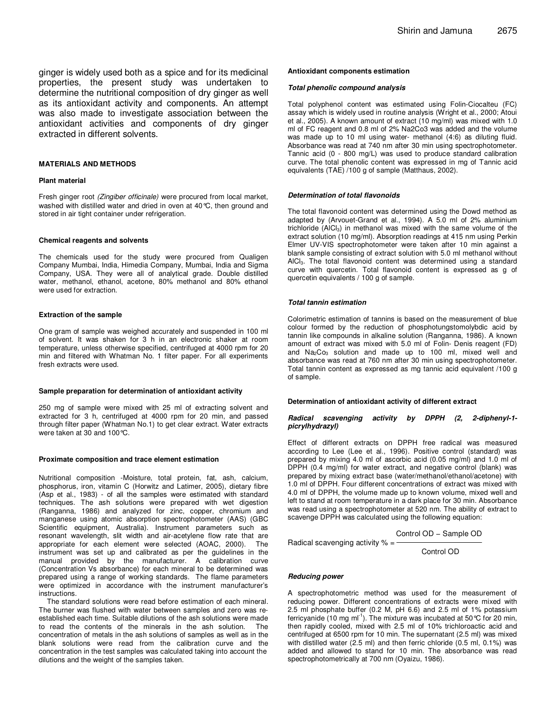ginger is widely used both as a spice and for its medicinal properties, the present study was undertaken to determine the nutritional composition of dry ginger as well as its antioxidant activity and components. An attempt was also made to investigate association between the antioxidant activities and components of dry ginger extracted in different solvents.

# **MATERIALS AND METHODS**

## **Plant material**

Fresh ginger root (Zingiber officinale) were procured from local market, washed with distilled water and dried in oven at 40°C, then ground and stored in air tight container under refrigeration.

#### **Chemical reagents and solvents**

The chemicals used for the study were procured from Qualigen Company Mumbai, India, Himedia Company, Mumbai, India and Sigma Company, USA. They were all of analytical grade. Double distilled water, methanol, ethanol, acetone, 80% methanol and 80% ethanol were used for extraction.

#### **Extraction of the sample**

One gram of sample was weighed accurately and suspended in 100 ml of solvent. It was shaken for 3 h in an electronic shaker at room temperature, unless otherwise specified, centrifuged at 4000 rpm for 20 min and filtered with Whatman No. 1 filter paper. For all experiments fresh extracts were used.

#### **Sample preparation for determination of antioxidant activity**

250 mg of sample were mixed with 25 ml of extracting solvent and extracted for 3 h, centrifuged at 4000 rpm for 20 min, and passed through filter paper (Whatman No.1) to get clear extract. Water extracts were taken at 30 and 100°C.

#### **Proximate composition and trace element estimation**

Nutritional composition -Moisture, total protein, fat, ash, calcium, phosphorus, iron, vitamin C (Horwitz and Latimer, 2005), dietary fibre (Asp et al., 1983) - of all the samples were estimated with standard techniques. The ash solutions were prepared with wet digestion (Ranganna, 1986) and analyzed for zinc, copper, chromium and manganese using atomic absorption spectrophotometer (AAS) (GBC Scientific equipment, Australia). Instrument parameters such as resonant wavelength, slit width and air-acetylene flow rate that are appropriate for each element were selected (AOAC, 2000). The instrument was set up and calibrated as per the guidelines in the manual provided by the manufacturer. A calibration curve (Concentration Vs absorbance) for each mineral to be determined was prepared using a range of working standards. The flame parameters were optimized in accordance with the instrument manufacturer's instructions.

The standard solutions were read before estimation of each mineral. The burner was flushed with water between samples and zero was reestablished each time. Suitable dilutions of the ash solutions were made to read the contents of the minerals in the ash solution. The concentration of metals in the ash solutions of samples as well as in the blank solutions were read from the calibration curve and the concentration in the test samples was calculated taking into account the dilutions and the weight of the samples taken.

#### **Antioxidant components estimation**

#### **Total phenolic compound analysis**

Total polyphenol content was estimated using Folin-Ciocalteu (FC) assay which is widely used in routine analysis (Wright et al., 2000; Atoui et al., 2005). A known amount of extract (10 mg/ml) was mixed with 1.0 ml of FC reagent and 0.8 ml of 2% Na2Co3 was added and the volume was made up to 10 ml using water- methanol (4:6) as diluting fluid. Absorbance was read at 740 nm after 30 min using spectrophotometer. Tannic acid (0 - 800 mg/L) was used to produce standard calibration curve. The total phenolic content was expressed in mg of Tannic acid equivalents (TAE) /100 g of sample (Matthaus, 2002).

## **Determination of total flavonoids**

The total flavonoid content was determined using the Dowd method as adapted by (Arvouet-Grand et al., 1994). A 5.0 ml of 2% aluminium trichloride  $(AICI<sub>3</sub>)$  in methanol was mixed with the same volume of the extract solution (10 mg/ml). Absorption readings at 415 nm using Perkin Elmer UV-VIS spectrophotometer were taken after 10 min against a blank sample consisting of extract solution with 5.0 ml methanol without AICI<sub>3</sub>. The total flavonoid content was determined using a standard curve with quercetin. Total flavonoid content is expressed as g of quercetin equivalents / 100 g of sample.

## **Total tannin estimation**

Colorimetric estimation of tannins is based on the measurement of blue colour formed by the reduction of phosphotungstomolybdic acid by tannin like compounds in alkaline solution (Ranganna, 1986). A known amount of extract was mixed with 5.0 ml of Folin- Denis reagent (FD) and  $Na<sub>2</sub>Co<sub>3</sub>$  solution and made up to 100 ml, mixed well and absorbance was read at 760 nm after 30 min using spectrophotometer. Total tannin content as expressed as mg tannic acid equivalent /100 g of sample.

#### **Determination of antioxidant activity of different extract**

#### **Radical scavenging activity by DPPH (2, 2-diphenyl-1 picrylhydrazyl)**

Effect of different extracts on DPPH free radical was measured according to Lee (Lee et al., 1996). Positive control (standard) was prepared by mixing 4.0 ml of ascorbic acid (0.05 mg/ml) and 1.0 ml of DPPH (0.4 mg/ml) for water extract, and negative control (blank) was prepared by mixing extract base (water/methanol/ethanol/acetone) with 1.0 ml of DPPH. Four different concentrations of extract was mixed with 4.0 ml of DPPH, the volume made up to known volume, mixed well and left to stand at room temperature in a dark place for 30 min. Absorbance was read using a spectrophotometer at 520 nm. The ability of extract to scavenge DPPH was calculated using the following equation:

Control OD − Sample OD

Radical scavenging activity  $% =$ 

Control OD

# **Reducing power**

A spectrophotometric method was used for the measurement of reducing power. Different concentrations of extracts were mixed with 2.5 ml phosphate buffer (0.2 M, pH 6.6) and 2.5 ml of 1% potassium ferricyanide (10 mg ml<sup>-1</sup>). The mixture was incubated at 50 °C for 20 min, then rapidly cooled, mixed with 2.5 ml of 10% trichloroactic acid and centrifuged at 6500 rpm for 10 min. The supernatant (2.5 ml) was mixed with distilled water (2.5 ml) and then ferric chloride (0.5 ml, 0.1%) was added and allowed to stand for 10 min. The absorbance was read spectrophotometrically at 700 nm (Oyaizu, 1986).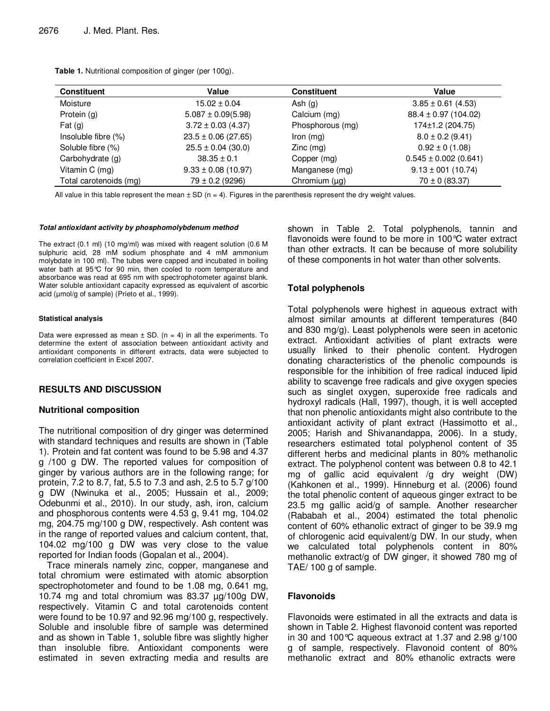| <b>Constituent</b>     | Value                   | <b>Constituent</b> | Value                     |
|------------------------|-------------------------|--------------------|---------------------------|
| Moisture               | $15.02 \pm 0.04$        | Ash $(g)$          | $3.85 \pm 0.61$ (4.53)    |
| Protein (g)            | $5.087 \pm 0.09(5.98)$  | Calcium (mg)       | $88.4 \pm 0.97$ (104.02)  |
| Fat $(a)$              | $3.72 \pm 0.03$ (4.37)  | Phosphorous (mg)   | 174±1.2 (204.75)          |
| Insoluble fibre (%)    | $23.5 \pm 0.06$ (27.65) | Iron $(mg)$        | $8.0 \pm 0.2$ (9.41)      |
| Soluble fibre (%)      | $25.5 \pm 0.04$ (30.0)  | $Zinc$ (mg)        | $0.92 \pm 0$ (1.08)       |
| Carbohydrate (g)       | $38.35 \pm 0.1$         | Copper (mg)        | $0.545 \pm 0.002$ (0.641) |
| Vitamin C (mg)         | $9.33 \pm 0.08$ (10.97) | Manganese (mg)     | $9.13 \pm 001$ (10.74)    |
| Total carotenoids (mg) | $79 \pm 0.2$ (9296)     | Chromium $(\mu g)$ | $70 \pm 0$ (83.37)        |

**Table 1.** Nutritional composition of ginger (per 100g).

All value in this table represent the mean  $\pm$  SD (n = 4). Figures in the parenthesis represent the dry weight values.

#### **Total antioxidant activity by phosphomolybdenum method**

The extract (0.1 ml) (10 mg/ml) was mixed with reagent solution (0.6 M sulphuric acid, 28 mM sodium phosphate and 4 mM ammonium molybdate in 100 ml). The tubes were capped and incubated in boiling water bath at 95°C for 90 min, then cooled to room temperature and absorbance was read at 695 nm with spectrophotometer against blank. Water soluble antioxidant capacity expressed as equivalent of ascorbic acid (µmol/g of sample) (Prieto et al., 1999).

# **Statistical analysis**

Data were expressed as mean  $\pm$  SD. (n = 4) in all the experiments. To determine the extent of association between antioxidant activity and antioxidant components in different extracts, data were subjected to correlation coefficient in Excel 2007.

# **RESULTS AND DISCUSSION**

# **Nutritional composition**

The nutritional composition of dry ginger was determined with standard techniques and results are shown in (Table 1). Protein and fat content was found to be 5.98 and 4.37 g /100 g DW. The reported values for composition of ginger by various authors are in the following range; for protein, 7.2 to 8.7, fat, 5.5 to 7.3 and ash, 2.5 to 5.7 g/100 g DW (Nwinuka et al., 2005; Hussain et al., 2009; Odebunmi et al., 2010). In our study, ash, iron, calcium and phosphorous contents were 4.53 g, 9.41 mg, 104.02 mg, 204.75 mg/100 g DW, respectively. Ash content was in the range of reported values and calcium content, that, 104.02 mg/100 g DW was very close to the value reported for Indian foods (Gopalan et al., 2004).

Trace minerals namely zinc, copper, manganese and total chromium were estimated with atomic absorption spectrophotometer and found to be 1.08 mg, 0.641 mg, 10.74 mg and total chromium was 83.37 µg/100g DW, respectively. Vitamin C and total carotenoids content were found to be 10.97 and 92.96 mg/100 g, respectively. Soluble and insoluble fibre of sample was determined and as shown in Table 1, soluble fibre was slightly higher than insoluble fibre. Antioxidant components were estimated in seven extracting media and results are

shown in Table 2. Total polyphenols, tannin and flavonoids were found to be more in 100°C water extract than other extracts. It can be because of more solubility of these components in hot water than other solvents.

# **Total polyphenols**

Total polyphenols were highest in aqueous extract with almost similar amounts at different temperatures (840 and 830 mg/g). Least polyphenols were seen in acetonic extract. Antioxidant activities of plant extracts were usually linked to their phenolic content. Hydrogen donating characteristics of the phenolic compounds is responsible for the inhibition of free radical induced lipid ability to scavenge free radicals and give oxygen species such as singlet oxygen, superoxide free radicals and hydroxyl radicals (Hall, 1997), though, it is well accepted that non phenolic antioxidants might also contribute to the antioxidant activity of plant extract (Hassimotto et al., 2005; Harish and Shivanandappa, 2006). In a study, researchers estimated total polyphenol content of 35 different herbs and medicinal plants in 80% methanolic extract. The polyphenol content was between 0.8 to 42.1 mg of gallic acid equivalent /g dry weight (DW) (Kahkonen et al., 1999). Hinneburg et al. (2006) found the total phenolic content of aqueous ginger extract to be 23.5 mg gallic acid/g of sample. Another researcher (Rababah et al., 2004) estimated the total phenolic content of 60% ethanolic extract of ginger to be 39.9 mg of chlorogenic acid equivalent/g DW. In our study, when we calculated total polyphenols content in 80% methanolic extract/g of DW ginger, it showed 780 mg of TAE/ 100 g of sample.

# **Flavonoids**

Flavonoids were estimated in all the extracts and data is shown in Table 2. Highest flavonoid content was reported in 30 and 100°C aqueous extract at 1.37 and 2.98 g/100 g of sample, respectively. Flavonoid content of 80% methanolic extract and 80% ethanolic extracts were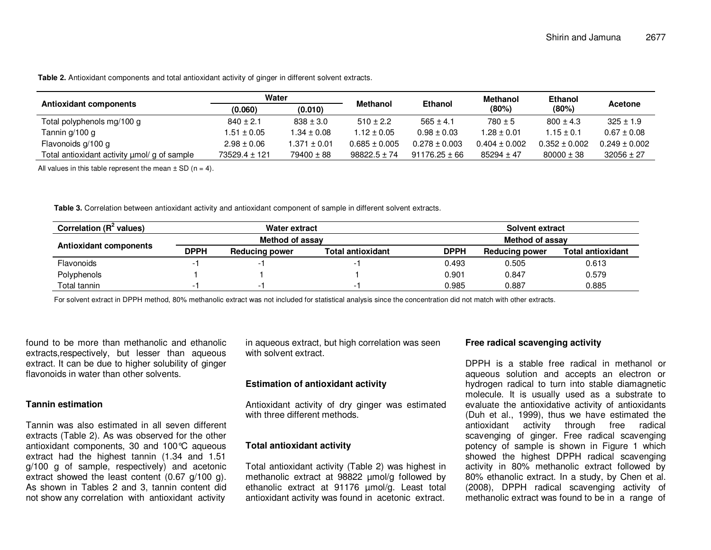|                                              | Water           |                  | <b>Methanol</b>   | <b>Ethanol</b>    | <b>Methanol</b>   | <b>Ethanol</b>    |                   |
|----------------------------------------------|-----------------|------------------|-------------------|-------------------|-------------------|-------------------|-------------------|
| <b>Antioxidant components</b>                | (0.060)         | (0.010)          |                   |                   | (80%)             | (80%)             | <b>Acetone</b>    |
| Total polyphenols mg/100 g                   | $840 \pm 2.1$   | $838 \pm 3.0$    | $510 \pm 2.2$     | $565 \pm 4.1$     | $780 \pm 5$       | $800 \pm 4.3$     | $325 \pm 1.9$     |
| Tannin g/100 g                               | $1.51 \pm 0.05$ | $1.34 \pm 0.08$  | $1.12 \pm 0.05$   | $0.98 \pm 0.03$   | $1.28 \pm 0.01$   | $1.15 \pm 0.1$    | $0.67 \pm 0.08$   |
| Flavonoids g/100 g                           | $2.98 \pm 0.06$ | $1.371 \pm 0.01$ | $0.685 \pm 0.005$ | $0.278 \pm 0.003$ | $0.404 \pm 0.002$ | $0.352 \pm 0.002$ | $0.249 \pm 0.002$ |
| Total antioxidant activity umol/ g of sample | 73529.4 ± 121   | $79400 \pm 88$   | $98822.5 \pm 74$  | $91176.25 \pm 66$ | $85294 \pm 47$    | $80000 \pm 38$    | $32056 \pm 27$    |

**Table 2.** Antioxidant components and total antioxidant activity of ginger in different solvent extracts.

All values in this table represent the mean  $\pm$  SD (n = 4).

**Table 3.** Correlation between antioxidant activity and antioxidant component of sample in different solvent extracts.

| Correlation (R <sup>2</sup> values) | <b>Water extract</b>   |                       |                          |             | Solvent extract        |                          |  |
|-------------------------------------|------------------------|-----------------------|--------------------------|-------------|------------------------|--------------------------|--|
| <b>Antioxidant components</b>       | <b>Method of assay</b> |                       |                          |             | <b>Method of assay</b> |                          |  |
|                                     | <b>DPPH</b>            | <b>Reducing power</b> | <b>Total antioxidant</b> | <b>DPPH</b> | <b>Reducing power</b>  | <b>Total antioxidant</b> |  |
| <b>Flavonoids</b>                   |                        |                       |                          | 0.493       | 0.505                  | 0.613                    |  |
| Polyphenols                         |                        |                       |                          | 0.901       | 0.847                  | 0.579                    |  |
| Total tannin                        |                        |                       | $\overline{\phantom{a}}$ | 0.985       | 0.887                  | 0.885                    |  |

For solvent extract in DPPH method, 80% methanolic extract was not included for statistical analysis since the concentration did not match with other extracts.

found to be more than methanolic and ethanolic extracts,respectively, but lesser than aqueous extract. It can be due to higher solubility of ginger flavonoids in water than other solvents.

# **Tannin estimation**

Tannin was also estimated in all seven different extracts (Table 2). As was observed for the other antioxidant components, 30 and 100°C aqueous extract had the highest tannin (1.34 and 1.51 g/100 g of sample, respectively) and acetonic extract showed the least content (0.67 g/100 g). As shown in Tables 2 and 3, tannin content did not show any correlation with antioxidant activity

in aqueous extract, but high correlation was seen with solvent extract.

# **Estimation of antioxidant activity**

Antioxidant activity of dry ginger was estimated with three different methods.

# **Total antioxidant activity**

Total antioxidant activity (Table 2) was highest in methanolic extract at 98822 µmol/g followed by ethanolic extract at 91176 µmol/g. Least total antioxidant activity was found in acetonic extract.

# **Free radical scavenging activity**

DPPH is a stable free radical in methanol or aqueous solution and accepts an electron or hydrogen radical to turn into stable diamagnetic molecule. It is usually used as a substrate to evaluate the antioxidative activity of antioxidants (Duh et al., 1999), thus we have estimated the antioxidant activity through free radical scavenging of ginger. Free radical scavenging potency of sample is shown in Figure 1 which showed the highest DPPH radical scavenging activity in 80% methanolic extract followed by 80% ethanolic extract. In a study, by Chen et al. (2008), DPPH radical scavenging activity of methanolic extract was found to be in a range of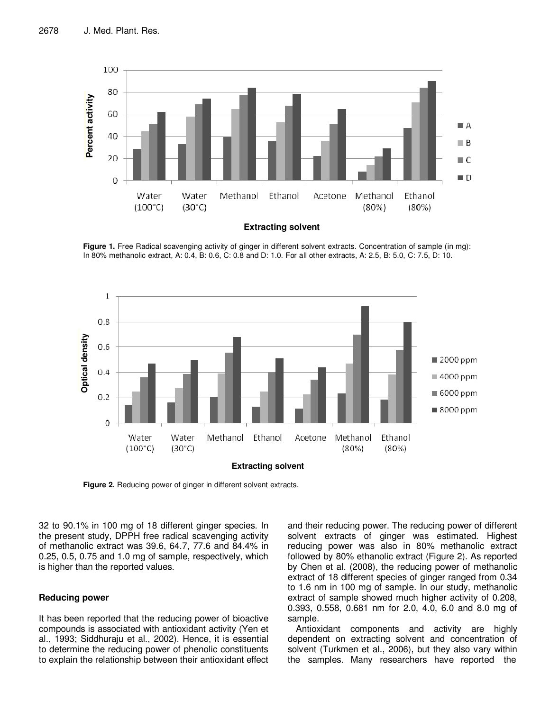

**Extracting solvent**

**Figure 1.** Free Radical scavenging activity of ginger in different solvent extracts. Concentration of sample (in mg): In 80% methanolic extract, A: 0.4, B: 0.6, C: 0.8 and D: 1.0. For all other extracts, A: 2.5, B: 5.0, C: 7.5, D: 10.



**Figure 2.** Reducing power of ginger in different solvent extracts.

32 to 90.1% in 100 mg of 18 different ginger species. In the present study, DPPH free radical scavenging activity of methanolic extract was 39.6, 64.7, 77.6 and 84.4% in 0.25, 0.5, 0.75 and 1.0 mg of sample, respectively, which is higher than the reported values.

# **Reducing power**

It has been reported that the reducing power of bioactive compounds is associated with antioxidant activity (Yen et al., 1993; Siddhuraju et al., 2002). Hence, it is essential to determine the reducing power of phenolic constituents to explain the relationship between their antioxidant effect

and their reducing power. The reducing power of different solvent extracts of ginger was estimated. Highest reducing power was also in 80% methanolic extract followed by 80% ethanolic extract (Figure 2). As reported by Chen et al. (2008), the reducing power of methanolic extract of 18 different species of ginger ranged from 0.34 to 1.6 nm in 100 mg of sample. In our study, methanolic extract of sample showed much higher activity of 0.208, 0.393, 0.558, 0.681 nm for 2.0, 4.0, 6.0 and 8.0 mg of sample.

Antioxidant components and activity are highly dependent on extracting solvent and concentration of solvent (Turkmen et al., 2006), but they also vary within the samples. Many researchers have reported the